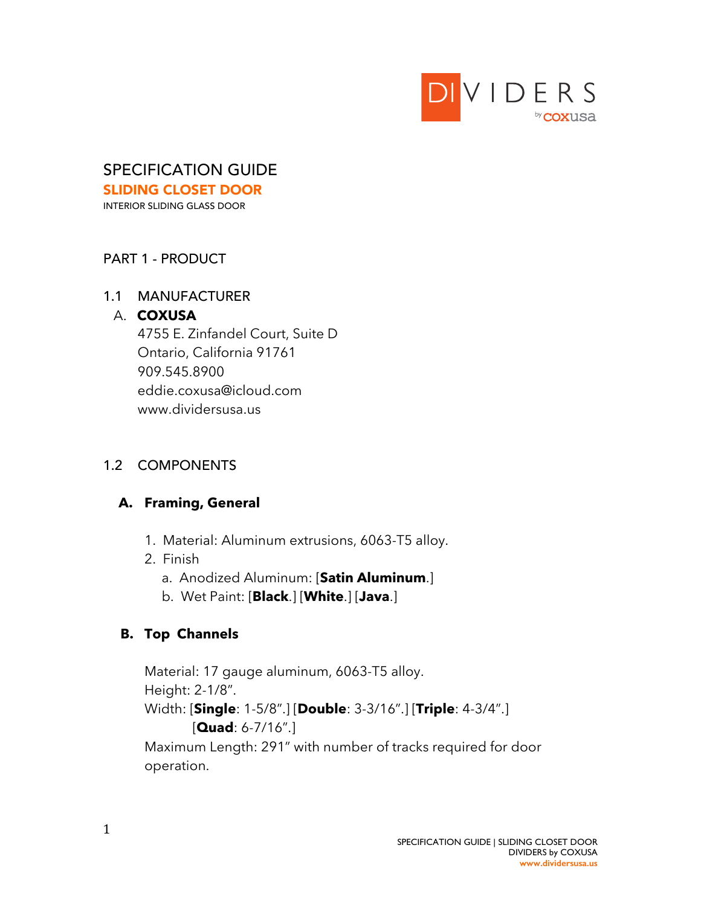

## SPECIFICATION GUIDE SLIDING CLOSET DOOR

INTERIOR SLIDING GLASS DOOR

## PART 1 - PRODUCT

## 1.1 MANUFACTURER

## A. **COXUSA**

 4755 E. Zinfandel Court, Suite D Ontario, California 91761 909.545.8900 eddie.coxusa@icloud.com www.dividersusa.us

# 1.2 COMPONENTS

# **A. Framing, General**

- 1. Material: Aluminum extrusions, 6063-T5 alloy.
- 2. Finish
	- a. Anodized Aluminum: [**Satin Aluminum**.]
	- b. Wet Paint: [**Black**.] [**White**.] [**Java**.]

# **B. Top Channels**

Material: 17 gauge aluminum, 6063-T5 alloy. Height: 2-1/8". Width: [**Single**: 1-5/8".] [**Double**: 3-3/16".] [**Triple**: 4-3/4".] [**Quad**: 6-7/16".]

Maximum Length: 291" with number of tracks required for door operation.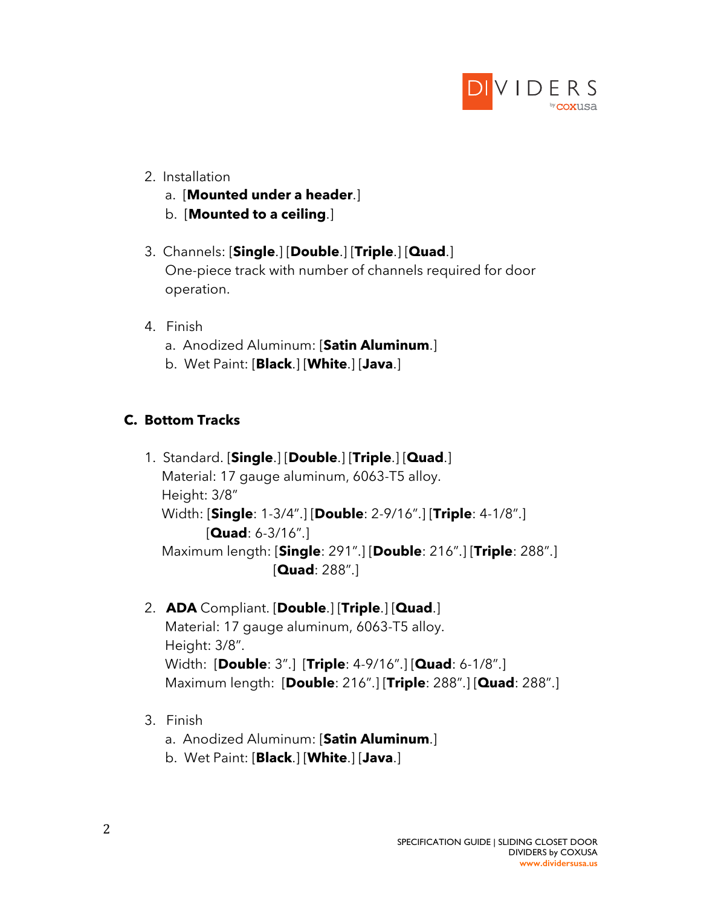

- 2. Installation
	- a. [**Mounted under a header**.]
	- b. [**Mounted to a ceiling**.]
- 3. Channels: [**Single**.] [**Double**.] [**Triple**.] [**Quad**.] One-piece track with number of channels required for door operation.
- 4. Finish
	- a. Anodized Aluminum: [**Satin Aluminum**.]
	- b. Wet Paint: [**Black**.] [**White**.] [**Java**.]

# **C. Bottom Tracks**

- 1. Standard. [**Single**.] [**Double**.] [**Triple**.] [**Quad**.] Material: 17 gauge aluminum, 6063-T5 alloy. Height: 3/8" Width: [**Single**: 1-3/4".] [**Double**: 2-9/16".] [**Triple**: 4-1/8".] [**Quad**: 6-3/16".] Maximum length: [**Single**: 291".] [**Double**: 216".] [**Triple**: 288".] [**Quad**: 288".]
- 2. **ADA** Compliant. [**Double**.] [**Triple**.] [**Quad**.] Material: 17 gauge aluminum, 6063-T5 alloy. Height: 3/8". Width: [**Double**: 3".] [**Triple**: 4-9/16".] [**Quad**: 6-1/8".] Maximum length: [**Double**: 216".] [**Triple**: 288".] [**Quad**: 288".]
- 3. Finish
	- a. Anodized Aluminum: [**Satin Aluminum**.]
	- b. Wet Paint: [**Black**.] [**White**.] [**Java**.]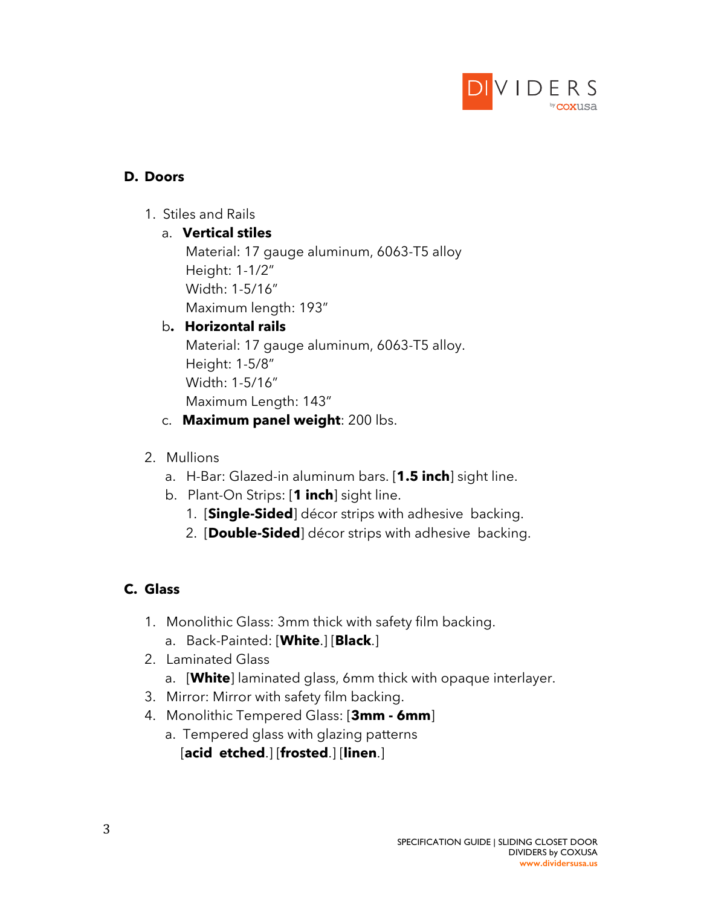

## **D. Doors**

1. Stiles and Rails

## a. **Vertical stiles**

Material: 17 gauge aluminum, 6063-T5 alloy Height: 1-1/2" Width: 1-5/16"

Maximum length: 193"

# b**. Horizontal rails**

Material: 17 gauge aluminum, 6063-T5 alloy. Height: 1-5/8" Width: 1-5/16" Maximum Length: 143"

- c. **Maximum panel weight**: 200 lbs.
- 2. Mullions
	- a. H-Bar: Glazed-in aluminum bars. [**1.5 inch**] sight line.
	- b. Plant-On Strips: [**1 inch**] sight line.
		- 1. [**Single-Sided**] décor strips with adhesive backing.
		- 2. [**Double-Sided**] décor strips with adhesive backing.

# **C. Glass**

- 1. Monolithic Glass: 3mm thick with safety film backing. a. Back-Painted: [**White**.] [**Black**.]
- 2. Laminated Glass
	- a. [**White**] laminated glass, 6mm thick with opaque interlayer.
- 3. Mirror: Mirror with safety film backing.
- 4. Monolithic Tempered Glass: [**3mm - 6mm**]
	- a. Tempered glass with glazing patterns [**acid etched**.] [**frosted**.] [**linen**.]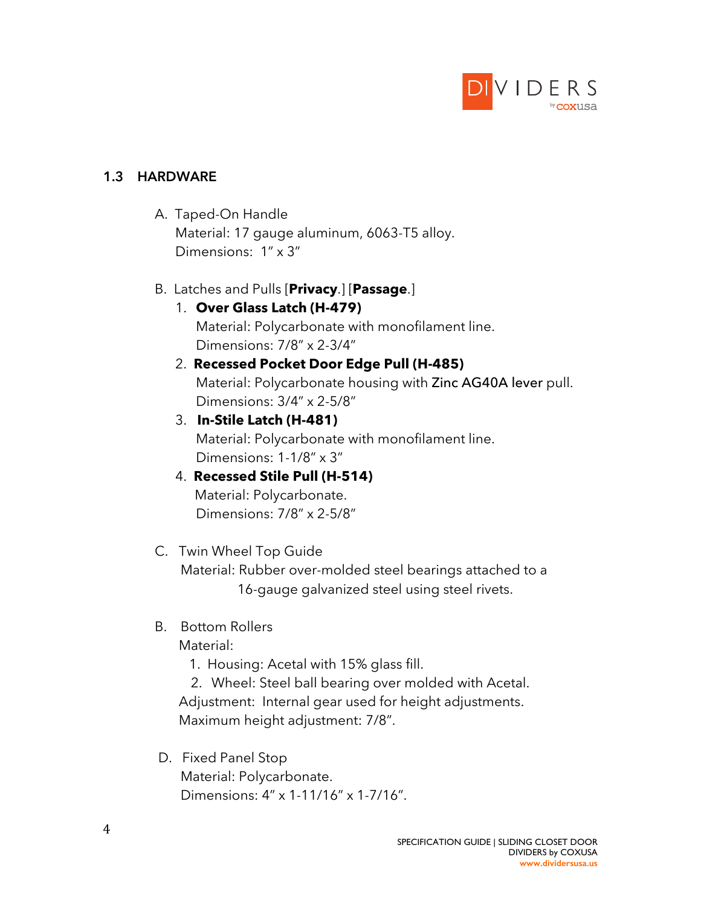

### **1.3 HARDWARE**

 A. Taped-On Handle Material: 17 gauge aluminum, 6063-T5 alloy. Dimensions: 1" x 3"

### B. Latches and Pulls [**Privacy**.] [**Passage**.]

# 1. **Over Glass Latch (H-479)**

Material: Polycarbonate with monofilament line. Dimensions: 7/8" x 2-3/4"

# 2. **Recessed Pocket Door Edge Pull (H-485)**

Material: Polycarbonate housing with Zinc AG40A lever pull. Dimensions: 3/4" x 2-5/8"

### 3. **In-Stile Latch (H-481)**

Material: Polycarbonate with monofilament line. Dimensions: 1-1/8" x 3"

### 4. **Recessed Stile Pull (H-514)** Material: Polycarbonate. Dimensions: 7/8" x 2-5/8"

### C. Twin Wheel Top Guide

Material: Rubber over-molded steel bearings attached to a 16-gauge galvanized steel using steel rivets.

## B. Bottom Rollers

Material:

1. Housing: Acetal with 15% glass fill.

2. Wheel: Steel ball bearing over molded with Acetal. Adjustment: Internal gear used for height adjustments. Maximum height adjustment: 7/8".

# D. Fixed Panel Stop Material: Polycarbonate. Dimensions: 4" x 1-11/16" x 1-7/16".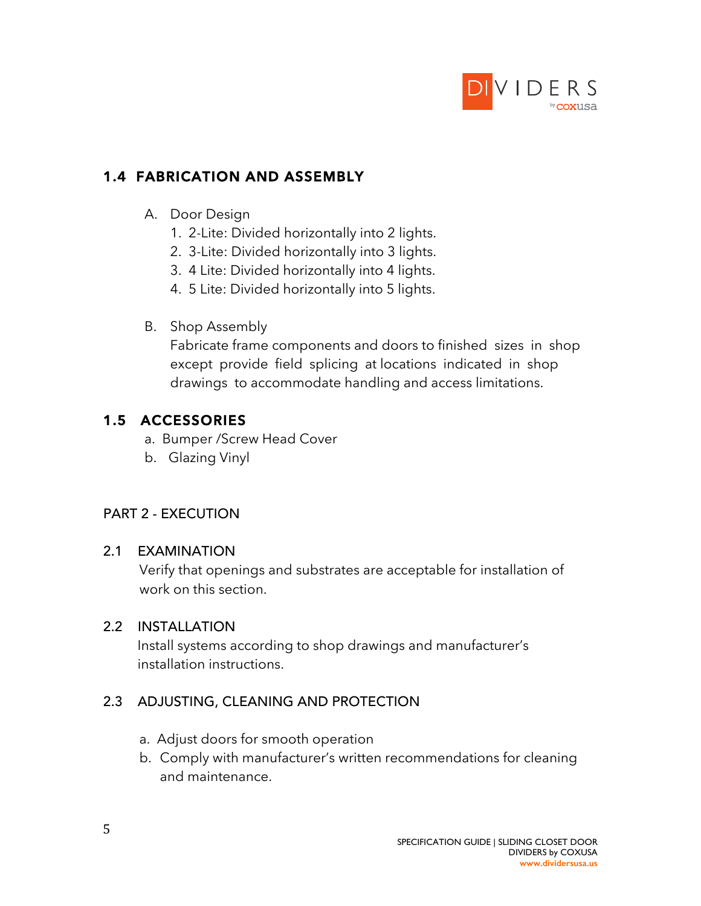

# **1.4 FABRICATION AND ASSEMBLY**

## A. Door Design

- 1. 2-Lite: Divided horizontally into 2 lights.
- 2. 3-Lite: Divided horizontally into 3 lights.
- 3. 4 Lite: Divided horizontally into 4 lights.
- 4. 5 Lite: Divided horizontally into 5 lights.
- B. Shop Assembly

Fabricate frame components and doors to finished sizes in shop except provide field splicing at locations indicated in shop drawings to accommodate handling and access limitations.

# **1.5 ACCESSORIES**

- a. Bumper /Screw Head Cover
- b. Glazing Vinyl

### PART 2 - EXECUTION

### 2.1 EXAMINATION

Verify that openings and substrates are acceptable for installation of work on this section.

### 2.2 INSTALLATION

Install systems according to shop drawings and manufacturer's installation instructions.

## 2.3 ADJUSTING, CLEANING AND PROTECTION

- a. Adjust doors for smooth operation
- b. Comply with manufacturer's written recommendations for cleaning and maintenance.